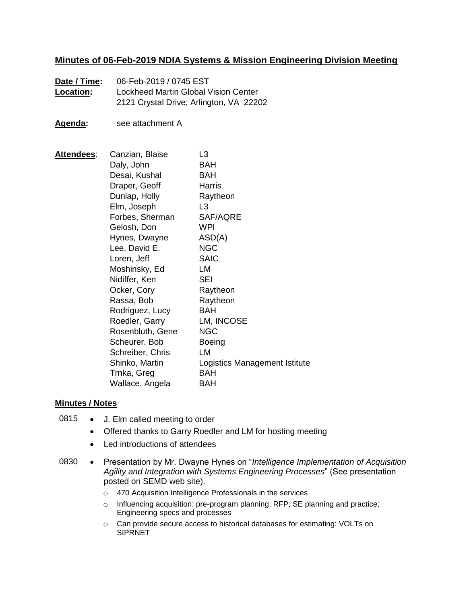## **Minutes of 06-Feb-2019 NDIA Systems & Mission Engineering Division Meeting**

- **Date / Time:** 06-Feb-2019 / 0745 EST **Location:** Lockheed Martin Global Vision Center 2121 Crystal Drive; Arlington, VA 22202
- **Agenda:** see attachment A

**Attendees**: Canzian, Blaise L3 Daly, John BAH Desai, Kushal BAH Draper, Geoff Harris Dunlap, Holly Raytheon Elm, Joseph L3 Forbes, Sherman SAF/AQRE Gelosh, Don WPI Hynes, Dwayne ASD(A) Lee, David E. NGC Loren, Jeff SAIC Moshinsky, Ed LM Nidiffer, Ken SEI Ocker, Cory Raytheon Rassa, Bob Raytheon Rodriguez, Lucy BAH Roedler, Garry LM, INCOSE Rosenbluth, Gene NGC Scheurer, Bob Boeing Schreiber, Chris LM Shinko, Martin Logistics Management Istitute Trnka, Greg BAH Wallace, Angela BAH

### **Minutes / Notes**

- 0815 J. Elm called meeting to order
	- Offered thanks to Garry Roedler and LM for hosting meeting
	- Led introductions of attendees
- 0830 Presentation by Mr. Dwayne Hynes on "*Intelligence Implementation of Acquisition Agility and Integration with Systems Engineering Processes*" (See presentation posted on SEMD web site).
	- o 470 Acquisition Intelligence Professionals in the services
	- o Influencing acquisition: pre-program planning; RFP; SE planning and practice; Engineering specs and processes
	- o Can provide secure access to historical databases for estimating: VOLTs on **SIPRNET**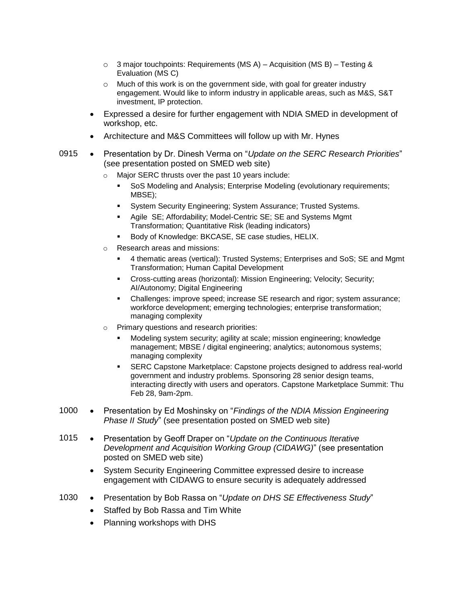- $\circ$  3 major touchpoints: Requirements (MS A) Acquisition (MS B) Testing & Evaluation (MS C)
- o Much of this work is on the government side, with goal for greater industry engagement. Would like to inform industry in applicable areas, such as M&S, S&T investment, IP protection.
- Expressed a desire for further engagement with NDIA SMED in development of workshop, etc.
- Architecture and M&S Committees will follow up with Mr. Hynes
- 0915 Presentation by Dr. Dinesh Verma on "*Update on the SERC Research Priorities*" (see presentation posted on SMED web site)
	- o Major SERC thrusts over the past 10 years include:
		- SoS Modeling and Analysis; Enterprise Modeling (evolutionary requirements; MBSE);
		- System Security Engineering; System Assurance; Trusted Systems.
		- Agile SE; Affordability; Model-Centric SE; SE and Systems Mgmt Transformation; Quantitative Risk (leading indicators)
		- Body of Knowledge: BKCASE, SE case studies, HELIX.
	- o Research areas and missions:
		- 4 thematic areas (vertical): Trusted Systems; Enterprises and SoS; SE and Mgmt Transformation; Human Capital Development
		- Cross-cutting areas (horizontal): Mission Engineering; Velocity; Security; AI/Autonomy; Digital Engineering
		- Challenges: improve speed; increase SE research and rigor; system assurance; workforce development; emerging technologies; enterprise transformation; managing complexity
	- o Primary questions and research priorities:
		- Modeling system security; agility at scale; mission engineering; knowledge management; MBSE / digital engineering; analytics; autonomous systems; managing complexity
		- SERC Capstone Marketplace: Capstone projects designed to address real-world government and industry problems. Sponsoring 28 senior design teams, interacting directly with users and operators. Capstone Marketplace Summit: Thu Feb 28, 9am-2pm.
- 1000 Presentation by Ed Moshinsky on "Findings of the NDIA Mission Engineering *Phase II Study*" (see presentation posted on SMED web site)
- 1015 Presentation by Geoff Draper on "*Update on the Continuous Iterative Development and Acquisition Working Group (CIDAWG)*" (see presentation posted on SMED web site)
	- System Security Engineering Committee expressed desire to increase engagement with CIDAWG to ensure security is adequately addressed
- 1030 Presentation by Bob Rassa on "*Update on DHS SE Effectiveness Study*"
	- Staffed by Bob Rassa and Tim White
	- Planning workshops with DHS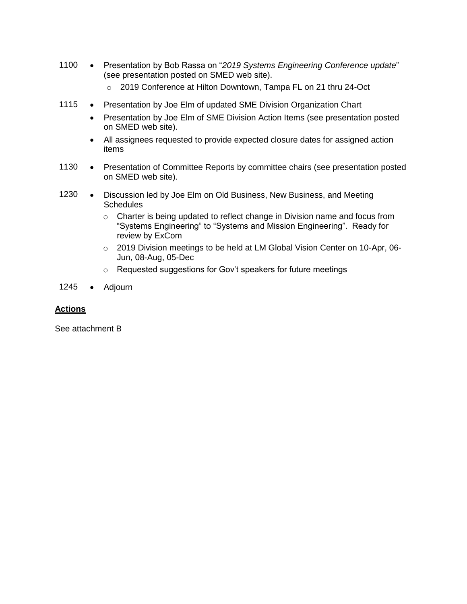- 1100 Presentation by Bob Rassa on "*2019 Systems Engineering Conference update*" (see presentation posted on SMED web site).
	- o 2019 Conference at Hilton Downtown, Tampa FL on 21 thru 24-Oct
- 1115 Presentation by Joe Elm of updated SME Division Organization Chart
	- Presentation by Joe Elm of SME Division Action Items (see presentation posted on SMED web site).
	- All assignees requested to provide expected closure dates for assigned action items
- 1130 Presentation of Committee Reports by committee chairs (see presentation posted on SMED web site).
- 1230 Discussion led by Joe Elm on Old Business, New Business, and Meeting **Schedules** 
	- o Charter is being updated to reflect change in Division name and focus from "Systems Engineering" to "Systems and Mission Engineering". Ready for review by ExCom
	- o 2019 Division meetings to be held at LM Global Vision Center on 10-Apr, 06- Jun, 08-Aug, 05-Dec
	- o Requested suggestions for Gov't speakers for future meetings
- 1245 · Adjourn

### **Actions**

See attachment B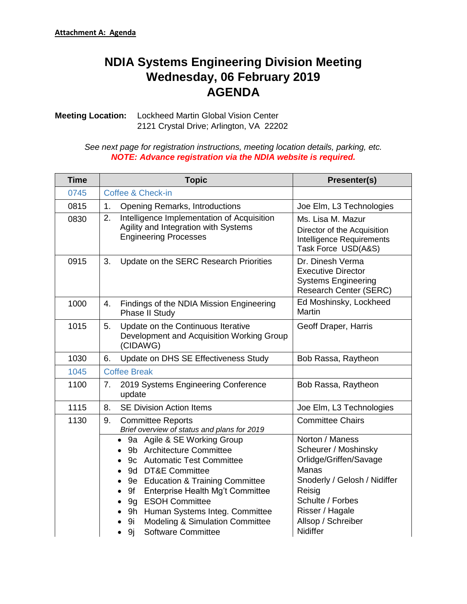# **NDIA Systems Engineering Division Meeting Wednesday, 06 February 2019 AGENDA**

**Meeting Location:** Lockheed Martin Global Vision Center 2121 Crystal Drive; Arlington, VA 22202

> *See next page for registration instructions, meeting location details, parking, etc. NOTE: Advance registration via the NDIA website is required.*

| <b>Time</b> | <b>Topic</b>                                                                                                                                                                                                                                                                                                                                                                        | Presenter(s)                                                                                                                                                                                         |  |  |  |
|-------------|-------------------------------------------------------------------------------------------------------------------------------------------------------------------------------------------------------------------------------------------------------------------------------------------------------------------------------------------------------------------------------------|------------------------------------------------------------------------------------------------------------------------------------------------------------------------------------------------------|--|--|--|
| 0745        | Coffee & Check-in                                                                                                                                                                                                                                                                                                                                                                   |                                                                                                                                                                                                      |  |  |  |
| 0815        | 1.<br><b>Opening Remarks, Introductions</b>                                                                                                                                                                                                                                                                                                                                         | Joe Elm, L3 Technologies                                                                                                                                                                             |  |  |  |
| 0830        | Intelligence Implementation of Acquisition<br>2.<br>Agility and Integration with Systems<br><b>Engineering Processes</b>                                                                                                                                                                                                                                                            | Ms. Lisa M. Mazur<br>Director of the Acquisition<br>Intelligence Requirements<br>Task Force USD(A&S)                                                                                                 |  |  |  |
| 0915        | 3.<br>Update on the SERC Research Priorities                                                                                                                                                                                                                                                                                                                                        | Dr. Dinesh Verma<br><b>Executive Director</b><br><b>Systems Engineering</b><br><b>Research Center (SERC)</b>                                                                                         |  |  |  |
| 1000        | Findings of the NDIA Mission Engineering<br>4.<br>Phase II Study                                                                                                                                                                                                                                                                                                                    | Ed Moshinsky, Lockheed<br>Martin                                                                                                                                                                     |  |  |  |
| 1015        | 5.<br>Update on the Continuous Iterative<br>Development and Acquisition Working Group<br>(CIDAWG)                                                                                                                                                                                                                                                                                   | Geoff Draper, Harris                                                                                                                                                                                 |  |  |  |
| 1030        | Update on DHS SE Effectiveness Study<br>6.                                                                                                                                                                                                                                                                                                                                          | Bob Rassa, Raytheon                                                                                                                                                                                  |  |  |  |
| 1045        | <b>Coffee Break</b>                                                                                                                                                                                                                                                                                                                                                                 |                                                                                                                                                                                                      |  |  |  |
| 1100        | 2019 Systems Engineering Conference<br>7.<br>update                                                                                                                                                                                                                                                                                                                                 | Bob Rassa, Raytheon                                                                                                                                                                                  |  |  |  |
| 1115        | <b>SE Division Action Items</b><br>8.                                                                                                                                                                                                                                                                                                                                               | Joe Elm, L3 Technologies                                                                                                                                                                             |  |  |  |
| 1130        | 9.<br><b>Committee Reports</b><br>Brief overview of status and plans for 2019                                                                                                                                                                                                                                                                                                       | <b>Committee Chairs</b>                                                                                                                                                                              |  |  |  |
|             | 9a Agile & SE Working Group<br>9b Architecture Committee<br>9c Automatic Test Committee<br>9d DT&E Committee<br>9e Education & Training Committee<br>$\bullet$<br>Enterprise Health Mg't Committee<br>9f<br>$\bullet$<br>9g ESOH Committee<br>$\bullet$<br>9h Human Systems Integ. Committee<br><b>Modeling &amp; Simulation Committee</b><br>9i<br><b>Software Committee</b><br>9j | Norton / Maness<br>Scheurer / Moshinsky<br>Orlidge/Griffen/Savage<br><b>Manas</b><br>Snoderly / Gelosh / Nidiffer<br>Reisig<br>Schulte / Forbes<br>Risser / Hagale<br>Allsop / Schreiber<br>Nidiffer |  |  |  |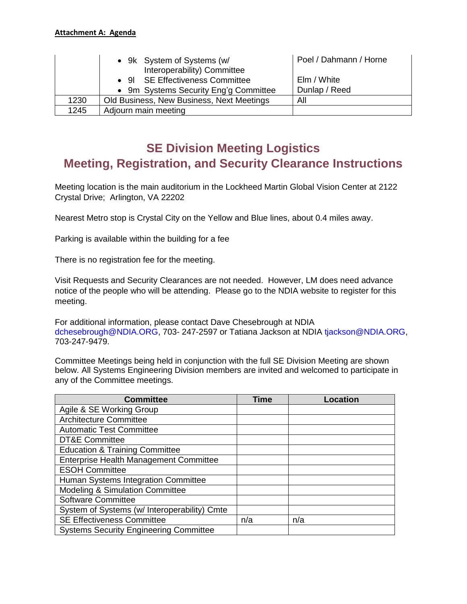|      | • 9k System of Systems (w/<br>Interoperability) Committee | Poel / Dahmann / Horne |
|------|-----------------------------------------------------------|------------------------|
|      | • 91 SE Effectiveness Committee                           | Elm / White            |
|      | • 9m Systems Security Eng'g Committee                     | Dunlap / Reed          |
| 1230 | Old Business, New Business, Next Meetings                 | All                    |
| 1245 | Adjourn main meeting                                      |                        |

# **SE Division Meeting Logistics Meeting, Registration, and Security Clearance Instructions**

Meeting location is the main auditorium in the Lockheed Martin Global Vision Center at 2122 Crystal Drive; Arlington, VA 22202

Nearest Metro stop is Crystal City on the Yellow and Blue lines, about 0.4 miles away.

Parking is available within the building for a fee

There is no registration fee for the meeting.

Visit Requests and Security Clearances are not needed. However, LM does need advance notice of the people who will be attending. Please go to the NDIA website to register for this meeting.

For additional information, please contact Dave Chesebrough at NDIA dchesebrough@NDIA.ORG, 703- 247-2597 or Tatiana Jackson at NDIA tjackson@NDIA.ORG, 703-247-9479.

Committee Meetings being held in conjunction with the full SE Division Meeting are shown below. All Systems Engineering Division members are invited and welcomed to participate in any of the Committee meetings.

| <b>Committee</b>                              | <b>Time</b> | <b>Location</b> |
|-----------------------------------------------|-------------|-----------------|
| Agile & SE Working Group                      |             |                 |
| Architecture Committee                        |             |                 |
| <b>Automatic Test Committee</b>               |             |                 |
| <b>DT&amp;E Committee</b>                     |             |                 |
| <b>Education &amp; Training Committee</b>     |             |                 |
| <b>Enterprise Health Management Committee</b> |             |                 |
| <b>ESOH Committee</b>                         |             |                 |
| Human Systems Integration Committee           |             |                 |
| Modeling & Simulation Committee               |             |                 |
| <b>Software Committee</b>                     |             |                 |
| System of Systems (w/ Interoperability) Cmte  |             |                 |
| <b>SE Effectiveness Committee</b>             | n/a         | n/a             |
| <b>Systems Security Engineering Committee</b> |             |                 |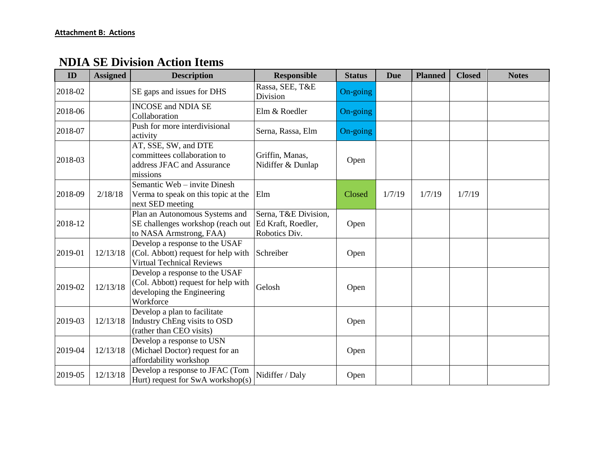# **NDIA SE Division Action Items**

| ID      | <b>Assigned</b> | <b>Description</b>                                                                                               | <b>Responsible</b>                                          | <b>Status</b> | <b>Due</b> | <b>Planned</b> | <b>Closed</b> | <b>Notes</b> |
|---------|-----------------|------------------------------------------------------------------------------------------------------------------|-------------------------------------------------------------|---------------|------------|----------------|---------------|--------------|
| 2018-02 |                 | SE gaps and issues for DHS                                                                                       | Rassa, SEE, T&E<br>Division                                 | On-going      |            |                |               |              |
| 2018-06 |                 | <b>INCOSE</b> and NDIA SE<br>Collaboration                                                                       | Elm & Roedler                                               | On-going      |            |                |               |              |
| 2018-07 |                 | Push for more interdivisional<br>activity                                                                        | Serna, Rassa, Elm                                           | On-going      |            |                |               |              |
| 2018-03 |                 | AT, SSE, SW, and DTE<br>committees collaboration to<br>address JFAC and Assurance<br>missions                    | Griffin, Manas,<br>Nidiffer & Dunlap                        | Open          |            |                |               |              |
| 2018-09 | 2/18/18         | Semantic Web - invite Dinesh<br>Verma to speak on this topic at the<br>next SED meeting                          | Elm                                                         | Closed        | 1/7/19     | 1/7/19         | 1/7/19        |              |
| 2018-12 |                 | Plan an Autonomous Systems and<br>SE challenges workshop (reach out<br>to NASA Armstrong, FAA)                   | Serna, T&E Division,<br>Ed Kraft, Roedler,<br>Robotics Div. | Open          |            |                |               |              |
| 2019-01 | 12/13/18        | Develop a response to the USAF<br>(Col. Abbott) request for help with<br><b>Virtual Technical Reviews</b>        | Schreiber                                                   | Open          |            |                |               |              |
| 2019-02 | 12/13/18        | Develop a response to the USAF<br>(Col. Abbott) request for help with<br>developing the Engineering<br>Workforce | Gelosh                                                      | Open          |            |                |               |              |
| 2019-03 | 12/13/18        | Develop a plan to facilitate<br>Industry ChEng visits to OSD<br>(rather than CEO visits)                         |                                                             | Open          |            |                |               |              |
| 2019-04 | 12/13/18        | Develop a response to USN<br>(Michael Doctor) request for an<br>affordability workshop                           |                                                             | Open          |            |                |               |              |
| 2019-05 | 12/13/18        | Develop a response to JFAC (Tom<br>Hurt) request for SwA workshop(s)                                             | Nidiffer / Daly                                             | Open          |            |                |               |              |